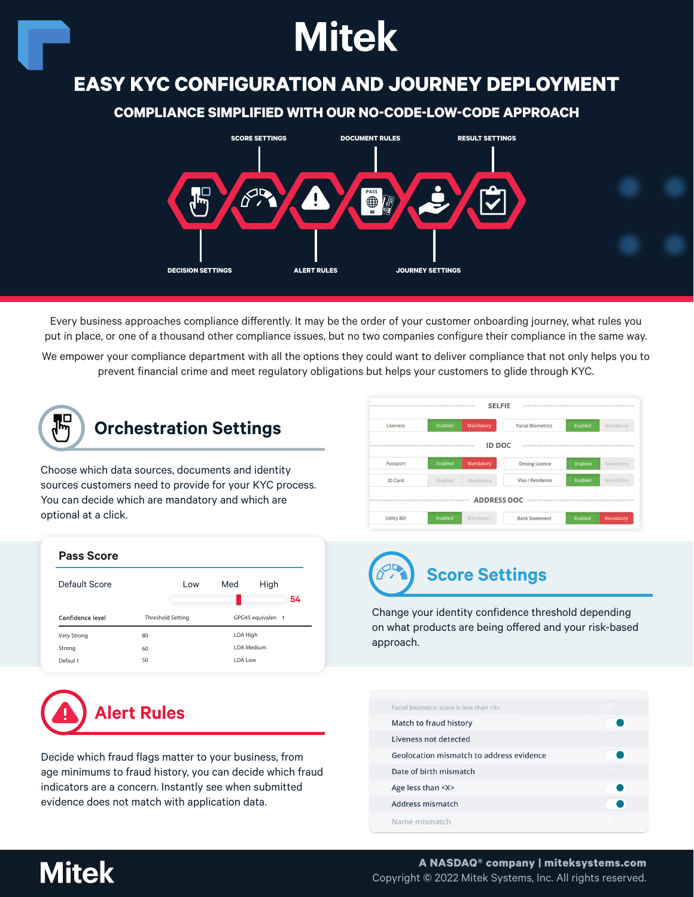# **Mitek**

### **EASY KYC CONFIGURATION AND JOURNEY DEPLOYMENT**

#### **COMPLIANCE SIMPLIFIED WITH OUR NO-CODE-LOW-CODE APPROACH**



Every business approaches compliance differently. It may be the order of your customer onboarding journey, what rules you put in place, or one of a thousand other compliance issues, but no two companies configure their compliance in the same way.

We empower your compliance department with all the options they could want to deliver compliance that not only helps you to prevent financial crime and meet regulatory obligations but helps your customers to glide through KYC.

**54**



**Pass Score**

Very Strong Strong Defaul t

Confidence level

### **Orchestration Settings**

Choose which data sources, documents and identity sources customers need to provide for your KYC process. You can decide which are mandatory and which are optional at a click.

Default Score **Low** Med High

80 60 50

Threshold Setting GPG45 equivalent

LOA High LOA Medium LOA Low

|                |         | Mandatory     | <b>Facial Biometrics</b> | Enabled | Mandatory |
|----------------|---------|---------------|--------------------------|---------|-----------|
|                |         | <b>ID DOC</b> |                          |         |           |
| Passport       | Enabled | Mandatory     | <b>Driving Licence</b>   | Enabled | Mandatory |
| <b>ID Card</b> | Enabled | Mandatory     | Visa / Residence         | Enabled | Mandatory |

## **Score Settings**

Change your identity confidence threshold depending on what products are being offered and your risk-based approach.

|  |  | <b>Alert Rules</b> |
|--|--|--------------------|
|--|--|--------------------|

Decide which fraud flags matter to your business, from age minimums to fraud history, you can decide which fraud indicators are a concern. Instantly see when submitted evidence does not match with application data.

| Facial biometric score is less than <x><br/>Match to fraud history<br/>Liveness not detected<br/>Geolocation mismatch to address evidence<br/>Date of birth mismatch<br/>Age less than <x><br/><b>Address mismatch</b><br/>Name mismatch</x></x> |  |  |
|--------------------------------------------------------------------------------------------------------------------------------------------------------------------------------------------------------------------------------------------------|--|--|
|                                                                                                                                                                                                                                                  |  |  |
|                                                                                                                                                                                                                                                  |  |  |
|                                                                                                                                                                                                                                                  |  |  |
|                                                                                                                                                                                                                                                  |  |  |
|                                                                                                                                                                                                                                                  |  |  |
|                                                                                                                                                                                                                                                  |  |  |
|                                                                                                                                                                                                                                                  |  |  |
|                                                                                                                                                                                                                                                  |  |  |

### **Mitek**